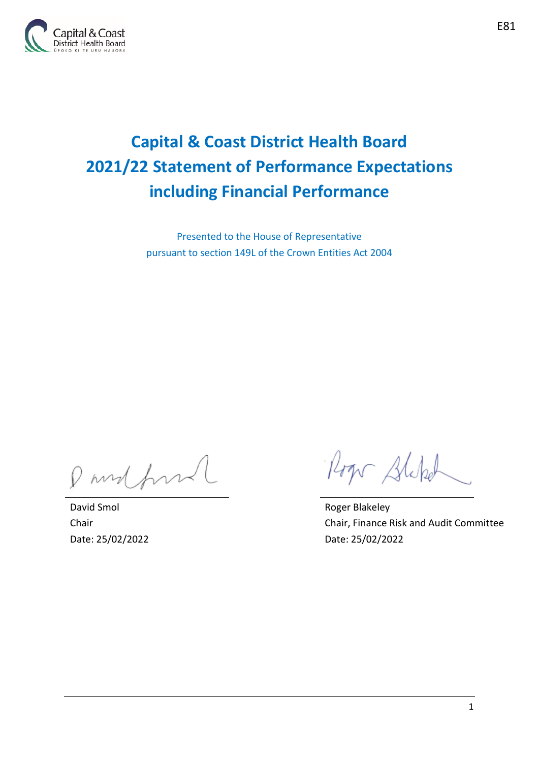

# **Capital & Coast District Health Board 2021/22 Statement of Performance Expectations including Financial Performance**

Presented to the House of Representative pursuant to section 149L of the Crown Entities Act 2004

P mod form

David Smol Chair Date: 25/02/2022

Roger Stephol

Roger Blakeley Chair, Finance Risk and Audit Committee Date: 25/02/2022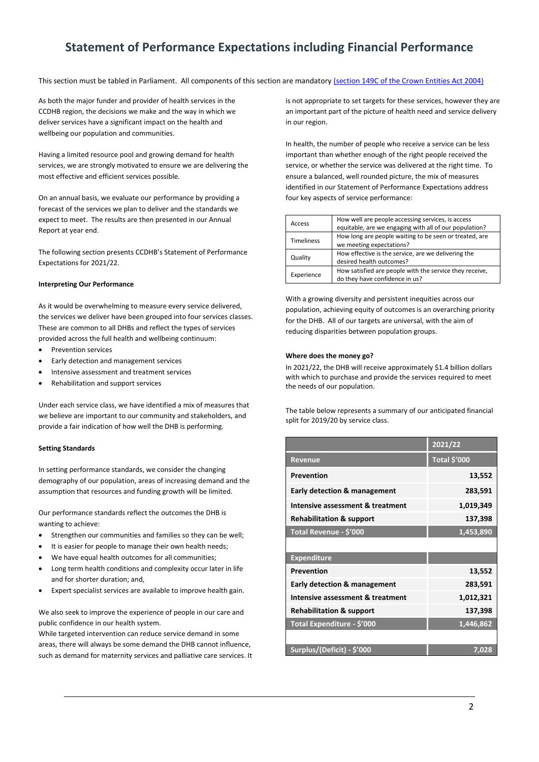# **Statement of Performance Expectations including Financial Performance**

This section must be tabled in Parliament. All components of this section are mandatory [\(section 149C of the Crown Entities Act 2004\)](http://www.legislation.govt.nz/act/public/2004/0115/latest/DLM6176675.html)

As both the major funder and provider of health services in the CCDHB region, the decisions we make and the way in which we deliver services have a significant impact on the health and wellbeing our population and communities.

Having a limited resource pool and growing demand for health services, we are strongly motivated to ensure we are delivering the most effective and efficient services possible.

On an annual basis, we evaluate our performance by providing a forecast of the services we plan to deliver and the standards we expect to meet. The results are then presented in our Annual Report at year end.

The following section presents CCDHB's Statement of Performance Expectations for 2021/22.

### **Interpreting Our Performance**

As it would be overwhelming to measure every service delivered, the services we deliver have been grouped into four services classes. These are common to all DHBs and reflect the types of services provided across the full health and wellbeing continuum:

- Prevention services
- Early detection and management services
- Intensive assessment and treatment services
- Rehabilitation and support services

Under each service class, we have identified a mix of measures that we believe are important to our community and stakeholders, and provide a fair indication of how well the DHB is performing.

#### **Setting Standards**

In setting performance standards, we consider the changing demography of our population, areas of increasing demand and the assumption that resources and funding growth will be limited.

Our performance standards reflect the outcomes the DHB is wanting to achieve:

- Strengthen our communities and families so they can be well;
- It is easier for people to manage their own health needs;
- We have equal health outcomes for all communities;
- Long term health conditions and complexity occur later in life and for shorter duration; and,
- Expert specialist services are available to improve health gain.

We also seek to improve the experience of people in our care and public confidence in our health system.

While targeted intervention can reduce service demand in some areas, there will always be some demand the DHB cannot influence, such as demand for maternity services and palliative care services. It is not appropriate to set targets for these services, however they are an important part of the picture of health need and service delivery in our region.

In health, the number of people who receive a service can be less important than whether enough of the right people received the service, or whether the service was delivered at the right time. To ensure a balanced, well rounded picture, the mix of measures identified in our Statement of Performance Expectations address four key aspects of service performance:

| Access            | How well are people accessing services, is access<br>equitable, are we engaging with all of our population? |
|-------------------|-------------------------------------------------------------------------------------------------------------|
| <b>Timeliness</b> | How long are people waiting to be seen or treated, are<br>we meeting expectations?                          |
| Quality           | How effective is the service, are we delivering the<br>desired health outcomes?                             |
| Experience        | How satisfied are people with the service they receive.<br>do they have confidence in us?                   |

With a growing diversity and persistent inequities across our population, achieving equity of outcomes is an overarching priority for the DHB. All of our targets are universal, with the aim of reducing disparities between population groups.

### **Where does the money go?**

In 2021/22, the DHB will receive approximately \$1.4 billion dollars with which to purchase and provide the services required to meet the needs of our population.

The table below represents a summary of our anticipated financial split for 2019/20 by service class.

|                                         | 2021/22             |
|-----------------------------------------|---------------------|
| <b>Revenue</b>                          | <b>Total \$'000</b> |
| Prevention                              | 13,552              |
| <b>Early detection &amp; management</b> | 283,591             |
| Intensive assessment & treatment        | 1,019,349           |
| <b>Rehabilitation &amp; support</b>     | 137,398             |
| Total Revenue - \$'000                  | 1,453,890           |
|                                         |                     |
| <b>Expenditure</b>                      |                     |
| Prevention                              | 13,552              |
| <b>Early detection &amp; management</b> | 283,591             |
| Intensive assessment & treatment        | 1,012,321           |
| <b>Rehabilitation &amp; support</b>     | 137,398             |
| Total Expenditure - \$'000              | 1,446,862           |
|                                         |                     |
| Surplus/(Deficit) - \$'000              | 7,028               |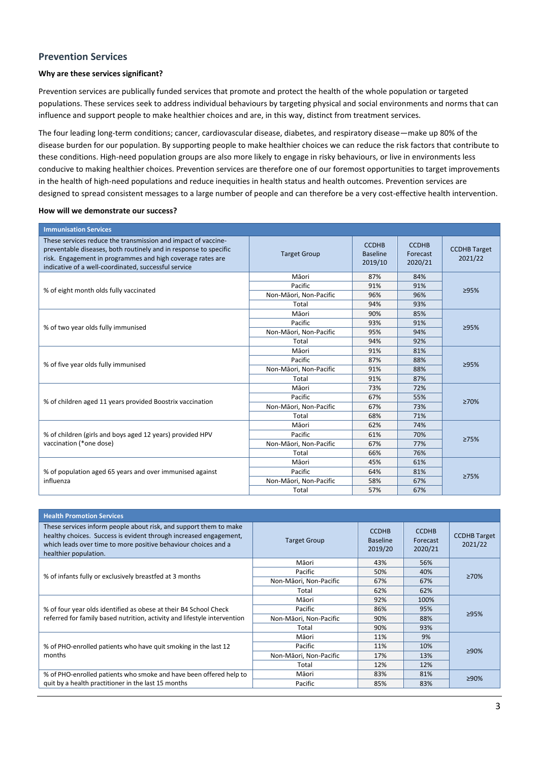### **Prevention Services**

### **Why are these services significant?**

Prevention services are publically funded services that promote and protect the health of the whole population or targeted populations. These services seek to address individual behaviours by targeting physical and social environments and norms that can influence and support people to make healthier choices and are, in this way, distinct from treatment services.

The four leading long-term conditions; cancer, cardiovascular disease, diabetes, and respiratory disease—make up 80% of the disease burden for our population. By supporting people to make healthier choices we can reduce the risk factors that contribute to these conditions. High-need population groups are also more likely to engage in risky behaviours, or live in environments less conducive to making healthier choices. Prevention services are therefore one of our foremost opportunities to target improvements in the health of high-need populations and reduce inequities in health status and health outcomes. Prevention services are designed to spread consistent messages to a large number of people and can therefore be a very cost-effective health intervention.

| <b>Immunisation Services</b>                                                                                                                                                                                                                            |                        |                                            |                                     |                                |
|---------------------------------------------------------------------------------------------------------------------------------------------------------------------------------------------------------------------------------------------------------|------------------------|--------------------------------------------|-------------------------------------|--------------------------------|
| These services reduce the transmission and impact of vaccine-<br>preventable diseases, both routinely and in response to specific<br>risk. Engagement in programmes and high coverage rates are<br>indicative of a well-coordinated, successful service | <b>Target Group</b>    | <b>CCDHB</b><br><b>Baseline</b><br>2019/10 | <b>CCDHB</b><br>Forecast<br>2020/21 | <b>CCDHB Target</b><br>2021/22 |
|                                                                                                                                                                                                                                                         | Māori                  | 87%                                        | 84%                                 |                                |
| % of eight month olds fully vaccinated                                                                                                                                                                                                                  | Pacific                | 91%                                        | 91%                                 | ≥95%                           |
|                                                                                                                                                                                                                                                         | Non-Māori, Non-Pacific | 96%                                        | 96%                                 |                                |
|                                                                                                                                                                                                                                                         | Total                  | 94%                                        | 93%                                 |                                |
|                                                                                                                                                                                                                                                         | Māori                  | 90%                                        | 85%                                 |                                |
| % of two year olds fully immunised                                                                                                                                                                                                                      | Pacific                | 93%                                        | 91%                                 | ≥95%                           |
|                                                                                                                                                                                                                                                         | Non-Māori, Non-Pacific | 95%                                        | 94%                                 |                                |
|                                                                                                                                                                                                                                                         | Total                  | 94%                                        | 92%                                 |                                |
| % of five year olds fully immunised                                                                                                                                                                                                                     | Māori                  | 91%                                        | 81%                                 | ≥95%                           |
|                                                                                                                                                                                                                                                         | Pacific                | 87%                                        | 88%                                 |                                |
|                                                                                                                                                                                                                                                         | Non-Māori, Non-Pacific | 91%                                        | 88%                                 |                                |
|                                                                                                                                                                                                                                                         | Total                  | 91%                                        | 87%                                 |                                |
|                                                                                                                                                                                                                                                         | Māori                  | 73%                                        | 72%                                 |                                |
|                                                                                                                                                                                                                                                         | Pacific                | 67%                                        | 55%                                 | 270%                           |
| % of children aged 11 years provided Boostrix vaccination                                                                                                                                                                                               | Non-Māori, Non-Pacific | 67%                                        | 73%                                 |                                |
|                                                                                                                                                                                                                                                         | Total                  | 68%                                        | 71%                                 |                                |
|                                                                                                                                                                                                                                                         | Māori                  | 62%                                        | 74%                                 |                                |
| % of children (girls and boys aged 12 years) provided HPV                                                                                                                                                                                               | Pacific                | 61%                                        | 70%                                 | 275%                           |
| vaccination (*one dose)                                                                                                                                                                                                                                 | Non-Māori, Non-Pacific | 67%                                        | 77%                                 |                                |
|                                                                                                                                                                                                                                                         | Total                  | 66%                                        | 76%                                 |                                |
|                                                                                                                                                                                                                                                         | Māori                  | 45%                                        | 61%                                 |                                |
| % of population aged 65 years and over immunised against                                                                                                                                                                                                | Pacific                | 64%                                        | 81%                                 | 275%                           |
| influenza                                                                                                                                                                                                                                               | Non-Māori, Non-Pacific | 58%                                        | 67%                                 |                                |
|                                                                                                                                                                                                                                                         | Total                  | 57%                                        | 67%                                 |                                |

| <b>Health Promotion Services</b>                                                                                                                                                                                                  |                        |                                            |                                     |                                |
|-----------------------------------------------------------------------------------------------------------------------------------------------------------------------------------------------------------------------------------|------------------------|--------------------------------------------|-------------------------------------|--------------------------------|
| These services inform people about risk, and support them to make<br>healthy choices. Success is evident through increased engagement,<br>which leads over time to more positive behaviour choices and a<br>healthier population. | <b>Target Group</b>    | <b>CCDHB</b><br><b>Baseline</b><br>2019/20 | <b>CCDHB</b><br>Forecast<br>2020/21 | <b>CCDHB Target</b><br>2021/22 |
|                                                                                                                                                                                                                                   | Māori                  | 43%                                        | 56%                                 |                                |
| % of infants fully or exclusively breastfed at 3 months                                                                                                                                                                           | Pacific                | 50%                                        | 40%                                 | ≥70%                           |
|                                                                                                                                                                                                                                   | Non-Māori, Non-Pacific | 67%                                        | 67%                                 |                                |
|                                                                                                                                                                                                                                   | Total                  | 62%                                        | 62%                                 |                                |
| % of four year olds identified as obese at their B4 School Check                                                                                                                                                                  | Māori                  | 92%                                        | 100%                                | ≥95%                           |
|                                                                                                                                                                                                                                   | Pacific                | 86%                                        | 95%                                 |                                |
| referred for family based nutrition, activity and lifestyle intervention                                                                                                                                                          | Non-Māori, Non-Pacific | 90%                                        | 88%                                 |                                |
|                                                                                                                                                                                                                                   | Total                  | 90%                                        | 93%                                 |                                |
|                                                                                                                                                                                                                                   | Māori                  | 11%                                        | 9%                                  |                                |
| % of PHO-enrolled patients who have quit smoking in the last 12                                                                                                                                                                   | Pacific                | 11%                                        | 10%                                 |                                |
| months                                                                                                                                                                                                                            | Non-Māori, Non-Pacific | 17%                                        | 13%                                 | ≥90%                           |
|                                                                                                                                                                                                                                   | Total                  | 12%                                        | 12%                                 |                                |
| % of PHO-enrolled patients who smoke and have been offered help to                                                                                                                                                                | Māori                  | 83%                                        | 81%                                 | ≥90%                           |
| quit by a health practitioner in the last 15 months                                                                                                                                                                               | Pacific                | 85%                                        | 83%                                 |                                |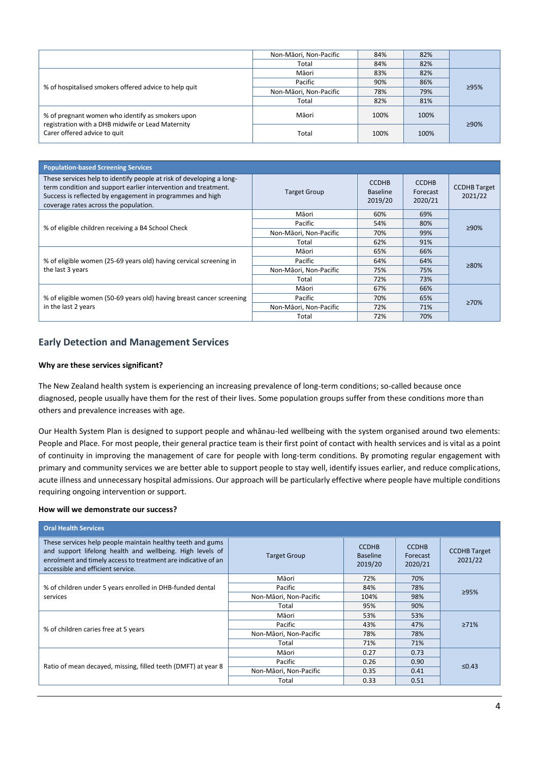|                                                                                                       | Non-Māori, Non-Pacific | 84%  | 82%  |      |
|-------------------------------------------------------------------------------------------------------|------------------------|------|------|------|
|                                                                                                       | Total                  | 84%  | 82%  |      |
| % of hospitalised smokers offered advice to help quit                                                 | Māori                  | 83%  | 82%  |      |
|                                                                                                       | Pacific                | 90%  | 86%  | ≥95% |
|                                                                                                       | Non-Māori, Non-Pacific | 78%  | 79%  |      |
|                                                                                                       | Total                  | 82%  | 81%  |      |
| % of pregnant women who identify as smokers upon<br>registration with a DHB midwife or Lead Maternity | Māori                  | 100% | 100% | ≥90% |
| Carer offered advice to quit                                                                          | Total                  | 100% | 100% |      |

| <b>Population-based Screening Services</b>                                                                                                                                                                                                   |                        |                                            |                                     |                                |
|----------------------------------------------------------------------------------------------------------------------------------------------------------------------------------------------------------------------------------------------|------------------------|--------------------------------------------|-------------------------------------|--------------------------------|
| These services help to identify people at risk of developing a long-<br>term condition and support earlier intervention and treatment.<br>Success is reflected by engagement in programmes and high<br>coverage rates across the population. | <b>Target Group</b>    | <b>CCDHB</b><br><b>Baseline</b><br>2019/20 | <b>CCDHB</b><br>Forecast<br>2020/21 | <b>CCDHB Target</b><br>2021/22 |
| % of eligible children receiving a B4 School Check                                                                                                                                                                                           | Māori                  | 60%                                        | 69%                                 |                                |
|                                                                                                                                                                                                                                              | Pacific                | 54%                                        | 80%                                 | ≥90%                           |
|                                                                                                                                                                                                                                              | Non-Māori, Non-Pacific | 70%                                        | 99%                                 |                                |
|                                                                                                                                                                                                                                              | Total                  | 62%                                        | 91%                                 |                                |
|                                                                                                                                                                                                                                              | Māori                  | 65%                                        | 66%                                 |                                |
| % of eligible women (25-69 years old) having cervical screening in                                                                                                                                                                           | Pacific                | 64%                                        | 64%                                 | ≥80%                           |
| the last 3 years                                                                                                                                                                                                                             | Non-Māori, Non-Pacific | 75%                                        | 75%                                 |                                |
|                                                                                                                                                                                                                                              | Total                  | 72%                                        | 73%                                 |                                |
|                                                                                                                                                                                                                                              | Māori                  | 67%                                        | 66%                                 |                                |
| % of eligible women (50-69 years old) having breast cancer screening<br>in the last 2 years                                                                                                                                                  | Pacific                | 70%                                        | 65%                                 | $\geq 70\%$                    |
|                                                                                                                                                                                                                                              | Non-Māori, Non-Pacific | 72%                                        | 71%                                 |                                |
|                                                                                                                                                                                                                                              | Total                  | 72%                                        | 70%                                 |                                |

### **Early Detection and Management Services**

### **Why are these services significant?**

The New Zealand health system is experiencing an increasing prevalence of long-term conditions; so-called because once diagnosed, people usually have them for the rest of their lives. Some population groups suffer from these conditions more than others and prevalence increases with age.

Our Health System Plan is designed to support people and whānau-led wellbeing with the system organised around two elements: People and Place. For most people, their general practice team is their first point of contact with health services and is vital as a point of continuity in improving the management of care for people with long-term conditions. By promoting regular engagement with primary and community services we are better able to support people to stay well, identify issues earlier, and reduce complications, acute illness and unnecessary hospital admissions. Our approach will be particularly effective where people have multiple conditions requiring ongoing intervention or support.

| <b>Oral Health Services</b>                                                                                                                                                                                                   |                        |                                            |                                     |                                |
|-------------------------------------------------------------------------------------------------------------------------------------------------------------------------------------------------------------------------------|------------------------|--------------------------------------------|-------------------------------------|--------------------------------|
| These services help people maintain healthy teeth and gums<br>and support lifelong health and wellbeing. High levels of<br>enrolment and timely access to treatment are indicative of an<br>accessible and efficient service. | <b>Target Group</b>    | <b>CCDHB</b><br><b>Baseline</b><br>2019/20 | <b>CCDHB</b><br>Forecast<br>2020/21 | <b>CCDHB Target</b><br>2021/22 |
| % of children under 5 years enrolled in DHB-funded dental<br>services                                                                                                                                                         | Māori                  | 72%                                        | 70%                                 |                                |
|                                                                                                                                                                                                                               | Pacific                | 84%                                        | 78%                                 | 295%                           |
|                                                                                                                                                                                                                               | Non-Māori, Non-Pacific | 104%                                       | 98%                                 |                                |
|                                                                                                                                                                                                                               | Total                  | 95%                                        | 90%                                 |                                |
|                                                                                                                                                                                                                               | Māori                  | 53%                                        | 53%                                 |                                |
| % of children caries free at 5 years                                                                                                                                                                                          | Pacific                | 43%                                        | 47%                                 | $\geq 71\%$                    |
|                                                                                                                                                                                                                               | Non-Māori, Non-Pacific | 78%                                        | 78%                                 |                                |
|                                                                                                                                                                                                                               | Total                  | 71%                                        | 71%                                 |                                |
|                                                                                                                                                                                                                               | Māori                  | 0.27                                       | 0.73                                |                                |
| Ratio of mean decayed, missing, filled teeth (DMFT) at year 8                                                                                                                                                                 | Pacific                | 0.26                                       | 0.90                                | $≤0.43$                        |
|                                                                                                                                                                                                                               | Non-Māori, Non-Pacific | 0.35                                       | 0.41                                |                                |
|                                                                                                                                                                                                                               | Total                  | 0.33                                       | 0.51                                |                                |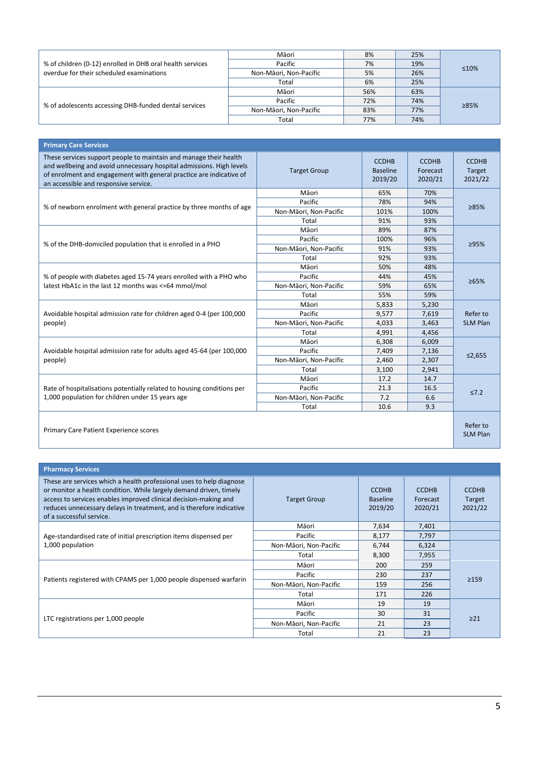| % of children (0-12) enrolled in DHB oral health services<br>overdue for their scheduled examinations | Māori                  | 8%  | 25% |      |
|-------------------------------------------------------------------------------------------------------|------------------------|-----|-----|------|
|                                                                                                       | Pacific                | 7%  | 19% | ≤10% |
|                                                                                                       | Non-Māori, Non-Pacific | 5%  | 26% |      |
|                                                                                                       | Total                  | 6%  | 25% |      |
| % of adolescents accessing DHB-funded dental services                                                 | Māori                  | 56% | 63% |      |
|                                                                                                       | Pacific                | 72% | 74% | ≥85% |
|                                                                                                       | Non-Māori, Non-Pacific | 83% | 77% |      |
|                                                                                                       | Total                  | 77% | 74% |      |

| <b>Primary Care Services</b>                                                                                                                                                                                                                              |                        |                                            |                                     |                                   |
|-----------------------------------------------------------------------------------------------------------------------------------------------------------------------------------------------------------------------------------------------------------|------------------------|--------------------------------------------|-------------------------------------|-----------------------------------|
| These services support people to maintain and manage their health<br>and wellbeing and avoid unnecessary hospital admissions. High levels<br>of enrolment and engagement with general practice are indicative of<br>an accessible and responsive service. | <b>Target Group</b>    | <b>CCDHB</b><br><b>Baseline</b><br>2019/20 | <b>CCDHB</b><br>Forecast<br>2020/21 | <b>CCDHB</b><br>Target<br>2021/22 |
|                                                                                                                                                                                                                                                           | Māori                  | 65%                                        | 70%                                 |                                   |
| % of newborn enrolment with general practice by three months of age                                                                                                                                                                                       | Pacific                | 78%                                        | 94%                                 | 285%                              |
|                                                                                                                                                                                                                                                           | Non-Māori, Non-Pacific | 101%                                       | 100%                                |                                   |
|                                                                                                                                                                                                                                                           | Total                  | 91%                                        | 93%                                 |                                   |
|                                                                                                                                                                                                                                                           | Māori                  | 89%                                        | 87%                                 |                                   |
| % of the DHB-domiciled population that is enrolled in a PHO                                                                                                                                                                                               | Pacific                | 100%                                       | 96%                                 | ≥95%                              |
|                                                                                                                                                                                                                                                           | Non-Māori, Non-Pacific | 91%                                        | 93%                                 |                                   |
|                                                                                                                                                                                                                                                           | Total                  | 92%                                        | 93%                                 |                                   |
|                                                                                                                                                                                                                                                           | Māori                  | 50%                                        | 48%                                 | 265%                              |
| % of people with diabetes aged 15-74 years enrolled with a PHO who                                                                                                                                                                                        | Pacific                | 44%                                        | 45%                                 |                                   |
| latest HbA1c in the last 12 months was <= 64 mmol/mol                                                                                                                                                                                                     | Non-Māori, Non-Pacific | 59%                                        | 65%                                 |                                   |
|                                                                                                                                                                                                                                                           | Total                  | 55%                                        | 59%                                 |                                   |
|                                                                                                                                                                                                                                                           | Māori                  | 5,833                                      | 5,230                               |                                   |
| Avoidable hospital admission rate for children aged 0-4 (per 100,000                                                                                                                                                                                      | Pacific                | 9,577                                      | 7,619                               | Refer to                          |
| people)                                                                                                                                                                                                                                                   | Non-Māori, Non-Pacific | 4,033                                      | 3,463                               | <b>SLM Plan</b>                   |
|                                                                                                                                                                                                                                                           | Total                  | 4,991                                      | 4,456                               |                                   |
|                                                                                                                                                                                                                                                           | Māori                  | 6,308                                      | 6,009                               |                                   |
| Avoidable hospital admission rate for adults aged 45-64 (per 100,000                                                                                                                                                                                      | Pacific                | 7,409                                      | 7,136                               | ≤2,655                            |
| people)                                                                                                                                                                                                                                                   | Non-Māori, Non-Pacific | 2,460                                      | 2,307                               |                                   |
|                                                                                                                                                                                                                                                           | Total                  | 3,100                                      | 2,941                               |                                   |
|                                                                                                                                                                                                                                                           | Māori                  | 17.2                                       | 14.7                                |                                   |
| Rate of hospitalisations potentially related to housing conditions per                                                                                                                                                                                    | Pacific                | 21.3                                       | 16.5                                | $\leq 7.2$                        |
| 1,000 population for children under 15 years age                                                                                                                                                                                                          | Non-Māori, Non-Pacific | 7.2                                        | 6.6                                 |                                   |
|                                                                                                                                                                                                                                                           | Total                  | 10.6                                       | 9.3                                 |                                   |
| Primary Care Patient Experience scores                                                                                                                                                                                                                    |                        |                                            |                                     | Refer to<br><b>SLM Plan</b>       |

| <b>Pharmacy Services</b>                                                                                                                                                                                                                                                                                           |                        |                                            |                                     |                                   |
|--------------------------------------------------------------------------------------------------------------------------------------------------------------------------------------------------------------------------------------------------------------------------------------------------------------------|------------------------|--------------------------------------------|-------------------------------------|-----------------------------------|
| These are services which a health professional uses to help diagnose<br>or monitor a health condition. While largely demand driven, timely<br>access to services enables improved clinical decision-making and<br>reduces unnecessary delays in treatment, and is therefore indicative<br>of a successful service. | <b>Target Group</b>    | <b>CCDHB</b><br><b>Baseline</b><br>2019/20 | <b>CCDHB</b><br>Forecast<br>2020/21 | <b>CCDHB</b><br>Target<br>2021/22 |
| Age-standardised rate of initial prescription items dispensed per<br>1,000 population                                                                                                                                                                                                                              | Māori                  | 7,634                                      | 7,401                               |                                   |
|                                                                                                                                                                                                                                                                                                                    | Pacific                | 8,177                                      | 7,797                               |                                   |
|                                                                                                                                                                                                                                                                                                                    | Non-Māori, Non-Pacific | 6,744                                      | 6,324                               |                                   |
|                                                                                                                                                                                                                                                                                                                    | Total                  | 8,300                                      | 7,955                               |                                   |
|                                                                                                                                                                                                                                                                                                                    | Māori                  | 200                                        | 259                                 | $\geq$ 159                        |
| Patients registered with CPAMS per 1,000 people dispensed warfarin                                                                                                                                                                                                                                                 | Pacific                | 230                                        | 237                                 |                                   |
|                                                                                                                                                                                                                                                                                                                    | Non-Māori, Non-Pacific | 159                                        | 256                                 |                                   |
|                                                                                                                                                                                                                                                                                                                    | Total                  | 171                                        | 226                                 |                                   |
|                                                                                                                                                                                                                                                                                                                    | Māori                  | 19                                         | 19                                  |                                   |
| LTC registrations per 1,000 people                                                                                                                                                                                                                                                                                 | Pacific                | 30                                         | 31                                  | $>21$                             |
|                                                                                                                                                                                                                                                                                                                    | Non-Māori, Non-Pacific | 21                                         | 23                                  |                                   |
|                                                                                                                                                                                                                                                                                                                    | Total                  | 21                                         | 23                                  |                                   |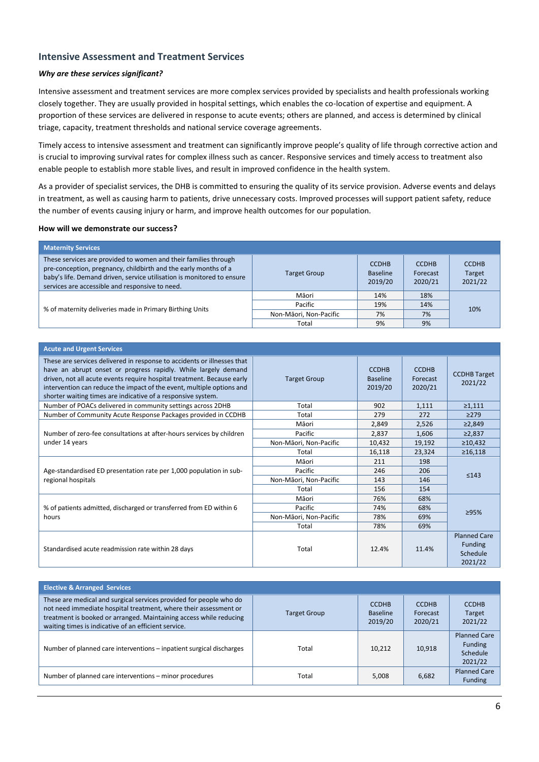### **Intensive Assessment and Treatment Services**

### *Why are these services significant?*

Intensive assessment and treatment services are more complex services provided by specialists and health professionals working closely together. They are usually provided in hospital settings, which enables the co-location of expertise and equipment. A proportion of these services are delivered in response to acute events; others are planned, and access is determined by clinical triage, capacity, treatment thresholds and national service coverage agreements.

Timely access to intensive assessment and treatment can significantly improve people's quality of life through corrective action and is crucial to improving survival rates for complex illness such as cancer. Responsive services and timely access to treatment also enable people to establish more stable lives, and result in improved confidence in the health system.

As a provider of specialist services, the DHB is committed to ensuring the quality of its service provision. Adverse events and delays in treatment, as well as causing harm to patients, drive unnecessary costs. Improved processes will support patient safety, reduce the number of events causing injury or harm, and improve health outcomes for our population.

| <b>Maternity Services</b>                                                                                                                                                                                                                                       |                        |                                            |                                     |                                   |
|-----------------------------------------------------------------------------------------------------------------------------------------------------------------------------------------------------------------------------------------------------------------|------------------------|--------------------------------------------|-------------------------------------|-----------------------------------|
| These services are provided to women and their families through<br>pre-conception, pregnancy, childbirth and the early months of a<br>baby's life. Demand driven, service utilisation is monitored to ensure<br>services are accessible and responsive to need. | <b>Target Group</b>    | <b>CCDHB</b><br><b>Baseline</b><br>2019/20 | <b>CCDHB</b><br>Forecast<br>2020/21 | <b>CCDHB</b><br>Target<br>2021/22 |
|                                                                                                                                                                                                                                                                 | Māori                  | 14%                                        | 18%                                 |                                   |
| % of maternity deliveries made in Primary Birthing Units                                                                                                                                                                                                        | Pacific                | 19%                                        | 14%                                 | 10%                               |
|                                                                                                                                                                                                                                                                 | Non-Māori, Non-Pacific | 7%                                         | 7%                                  |                                   |
|                                                                                                                                                                                                                                                                 | Total                  | 9%                                         | 9%                                  |                                   |

| <b>Acute and Urgent Services</b>                                                                                                                                                                                                                                                                                                                             |                        |                                            |                                     |                                                              |
|--------------------------------------------------------------------------------------------------------------------------------------------------------------------------------------------------------------------------------------------------------------------------------------------------------------------------------------------------------------|------------------------|--------------------------------------------|-------------------------------------|--------------------------------------------------------------|
| These are services delivered in response to accidents or illnesses that<br>have an abrupt onset or progress rapidly. While largely demand<br>driven, not all acute events require hospital treatment. Because early<br>intervention can reduce the impact of the event, multiple options and<br>shorter waiting times are indicative of a responsive system. | <b>Target Group</b>    | <b>CCDHB</b><br><b>Baseline</b><br>2019/20 | <b>CCDHB</b><br>Forecast<br>2020/21 | <b>CCDHB Target</b><br>2021/22                               |
| Number of POACs delivered in community settings across 2DHB                                                                                                                                                                                                                                                                                                  | Total                  | 902                                        | 1,111                               | $\geq 1,111$                                                 |
| Number of Community Acute Response Packages provided in CCDHB                                                                                                                                                                                                                                                                                                | Total                  | 279                                        | 272                                 | $\geq$ 279                                                   |
|                                                                                                                                                                                                                                                                                                                                                              | Māori                  | 2,849                                      | 2,526                               | ≥2,849                                                       |
| Number of zero-fee consultations at after-hours services by children                                                                                                                                                                                                                                                                                         | Pacific                | 2,837                                      | 1,606                               | ≥2,837                                                       |
| under 14 years                                                                                                                                                                                                                                                                                                                                               | Non-Māori, Non-Pacific | 10,432                                     | 19,192                              | $\geq 10,432$                                                |
|                                                                                                                                                                                                                                                                                                                                                              | Total                  | 16,118                                     | 23,324                              | $\geq 16,118$                                                |
|                                                                                                                                                                                                                                                                                                                                                              | Māori                  | 211                                        | 198                                 | ≤143                                                         |
| Age-standardised ED presentation rate per 1,000 population in sub-                                                                                                                                                                                                                                                                                           | Pacific                | 246                                        | 206                                 |                                                              |
| regional hospitals                                                                                                                                                                                                                                                                                                                                           | Non-Māori, Non-Pacific | 143                                        | 146                                 |                                                              |
|                                                                                                                                                                                                                                                                                                                                                              | Total                  | 156                                        | 154                                 |                                                              |
|                                                                                                                                                                                                                                                                                                                                                              | Māori                  | 76%                                        | 68%                                 |                                                              |
| % of patients admitted, discharged or transferred from ED within 6                                                                                                                                                                                                                                                                                           | Pacific                | 74%                                        | 68%                                 |                                                              |
| hours                                                                                                                                                                                                                                                                                                                                                        | Non-Māori, Non-Pacific | 78%                                        | 69%                                 | ≥95%                                                         |
|                                                                                                                                                                                                                                                                                                                                                              | Total                  | 78%                                        | 69%                                 |                                                              |
| Standardised acute readmission rate within 28 days                                                                                                                                                                                                                                                                                                           | Total                  | 12.4%                                      | 11.4%                               | <b>Planned Care</b><br><b>Funding</b><br>Schedule<br>2021/22 |

| <b>Elective &amp; Arranged Services</b>                                                                                                                                                                                                                              |                     |                                            |                                     |                                                              |  |  |  |
|----------------------------------------------------------------------------------------------------------------------------------------------------------------------------------------------------------------------------------------------------------------------|---------------------|--------------------------------------------|-------------------------------------|--------------------------------------------------------------|--|--|--|
| These are medical and surgical services provided for people who do<br>not need immediate hospital treatment, where their assessment or<br>treatment is booked or arranged. Maintaining access while reducing<br>waiting times is indicative of an efficient service. | <b>Target Group</b> | <b>CCDHB</b><br><b>Baseline</b><br>2019/20 | <b>CCDHB</b><br>Forecast<br>2020/21 | <b>CCDHB</b><br>Target<br>2021/22                            |  |  |  |
| Number of planned care interventions – inpatient surgical discharges                                                                                                                                                                                                 | Total               | 10.212                                     | 10,918                              | <b>Planned Care</b><br><b>Funding</b><br>Schedule<br>2021/22 |  |  |  |
| Number of planned care interventions – minor procedures                                                                                                                                                                                                              | Total               | 5.008                                      | 6,682                               | <b>Planned Care</b><br><b>Funding</b>                        |  |  |  |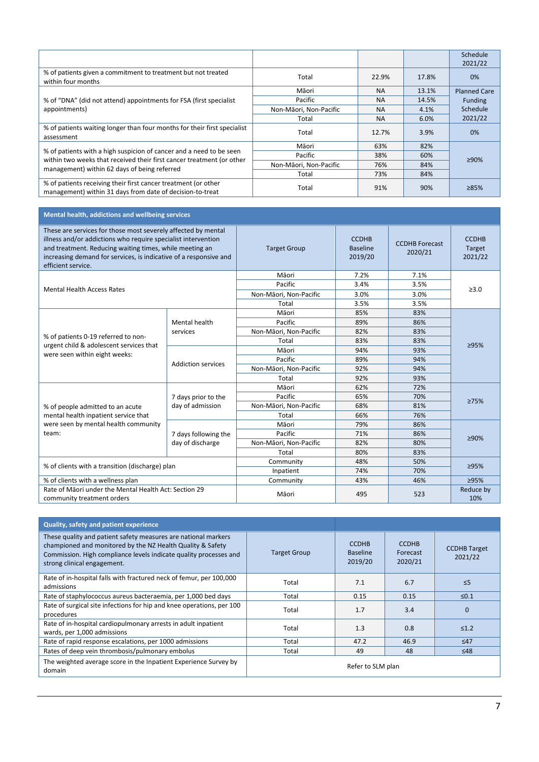|                                                                                                                                              |                        |           |       | Schedule<br>2021/22 |
|----------------------------------------------------------------------------------------------------------------------------------------------|------------------------|-----------|-------|---------------------|
| % of patients given a commitment to treatment but not treated<br>within four months                                                          | Total                  | 22.9%     | 17.8% | 0%                  |
|                                                                                                                                              | Māori                  | <b>NA</b> | 13.1% | <b>Planned Care</b> |
| % of "DNA" (did not attend) appointments for FSA (first specialist)                                                                          | Pacific                | <b>NA</b> | 14.5% | <b>Funding</b>      |
| appointments)                                                                                                                                | Non-Māori, Non-Pacific | <b>NA</b> | 4.1%  | Schedule            |
|                                                                                                                                              | Total                  | <b>NA</b> | 6.0%  | 2021/22             |
| % of patients waiting longer than four months for their first specialist<br>assessment                                                       | Total                  | 12.7%     | 3.9%  | 0%                  |
|                                                                                                                                              | Māori                  | 63%       | 82%   |                     |
| % of patients with a high suspicion of cancer and a need to be seen<br>within two weeks that received their first cancer treatment (or other | Pacific                | 38%       | 60%   | ≥90%                |
| management) within 62 days of being referred                                                                                                 | Non-Māori, Non-Pacific | 76%       | 84%   |                     |
|                                                                                                                                              | Total                  | 73%       | 84%   |                     |
| % of patients receiving their first cancer treatment (or other<br>management) within 31 days from date of decision-to-treat                  | Total                  | 91%       | 90%   | 285%                |

## **Mental health, addictions and wellbeing services**

| These are services for those most severely affected by mental<br>illness and/or addictions who require specialist intervention<br>and treatment. Reducing waiting times, while meeting an<br>increasing demand for services, is indicative of a responsive and<br>efficient service. |                           | <b>Target Group</b>    | <b>CCDHB</b><br><b>Baseline</b><br>2019/20 | <b>CCDHB Forecast</b><br>2020/21 | <b>CCDHB</b><br>Target<br>2021/22 |
|--------------------------------------------------------------------------------------------------------------------------------------------------------------------------------------------------------------------------------------------------------------------------------------|---------------------------|------------------------|--------------------------------------------|----------------------------------|-----------------------------------|
|                                                                                                                                                                                                                                                                                      |                           | Māori                  | 7.2%                                       | 7.1%                             |                                   |
| <b>Mental Health Access Rates</b>                                                                                                                                                                                                                                                    |                           | Pacific                | 3.4%                                       | 3.5%                             | >3.0                              |
|                                                                                                                                                                                                                                                                                      |                           | Non-Māori, Non-Pacific | 3.0%                                       | 3.0%                             |                                   |
|                                                                                                                                                                                                                                                                                      |                           | Total                  | 3.5%                                       | 3.5%                             |                                   |
|                                                                                                                                                                                                                                                                                      |                           | Māori                  | 85%                                        | 83%                              |                                   |
|                                                                                                                                                                                                                                                                                      | Mental health             | Pacific                | 89%                                        | 86%                              |                                   |
|                                                                                                                                                                                                                                                                                      | services                  | Non-Māori, Non-Pacific | 82%                                        | 83%                              | ≥95%                              |
| % of patients 0-19 referred to non-                                                                                                                                                                                                                                                  |                           | Total                  | 83%                                        | 83%                              |                                   |
| urgent child & adolescent services that<br>were seen within eight weeks:                                                                                                                                                                                                             | <b>Addiction services</b> | Māori                  | 94%                                        | 93%                              |                                   |
|                                                                                                                                                                                                                                                                                      |                           | Pacific                | 89%                                        | 94%                              |                                   |
|                                                                                                                                                                                                                                                                                      |                           | Non-Māori, Non-Pacific | 92%                                        | 94%                              |                                   |
|                                                                                                                                                                                                                                                                                      |                           | Total                  | 92%                                        | 93%                              |                                   |
|                                                                                                                                                                                                                                                                                      |                           | Māori                  | 62%                                        | 72%                              |                                   |
|                                                                                                                                                                                                                                                                                      | 7 days prior to the       | Pacific                | 65%                                        | 70%                              |                                   |
| % of people admitted to an acute                                                                                                                                                                                                                                                     | day of admission          | Non-Māori, Non-Pacific | 68%                                        | 81%                              | 275%                              |
| mental health inpatient service that                                                                                                                                                                                                                                                 |                           | Total                  | 66%                                        | 76%                              |                                   |
| were seen by mental health community                                                                                                                                                                                                                                                 |                           | Māori                  | 79%                                        | 86%                              |                                   |
| team:                                                                                                                                                                                                                                                                                | 7 days following the      | Pacific                | 71%                                        | 86%                              |                                   |
|                                                                                                                                                                                                                                                                                      | day of discharge          | Non-Māori, Non-Pacific | 82%                                        | 80%                              | ≥90%                              |
|                                                                                                                                                                                                                                                                                      |                           | Total                  | 80%                                        | 83%                              |                                   |
|                                                                                                                                                                                                                                                                                      |                           | Community              | 48%                                        | 50%                              |                                   |
| % of clients with a transition (discharge) plan                                                                                                                                                                                                                                      |                           | Inpatient              | 74%                                        | 70%                              | ≥95%                              |
| % of clients with a wellness plan                                                                                                                                                                                                                                                    |                           | Community              | 43%                                        | 46%                              | ≥95%                              |
| Rate of Māori under the Mental Health Act: Section 29<br>community treatment orders                                                                                                                                                                                                  |                           | Māori                  | 495                                        | 523                              | Reduce by<br>10%                  |

| Quality, safety and patient experience                                                                                                                                                                                           |                     |                                            |                                     |                                |  |
|----------------------------------------------------------------------------------------------------------------------------------------------------------------------------------------------------------------------------------|---------------------|--------------------------------------------|-------------------------------------|--------------------------------|--|
| These quality and patient safety measures are national markers<br>championed and monitored by the NZ Health Quality & Safety<br>Commission. High compliance levels indicate quality processes and<br>strong clinical engagement. | <b>Target Group</b> | <b>CCDHB</b><br><b>Baseline</b><br>2019/20 | <b>CCDHB</b><br>Forecast<br>2020/21 | <b>CCDHB Target</b><br>2021/22 |  |
| Rate of in-hospital falls with fractured neck of femur, per 100,000<br>admissions                                                                                                                                                | Total               | 7.1                                        | 6.7                                 | $\leq$ 5                       |  |
| Rate of staphylococcus aureus bacteraemia, per 1,000 bed days                                                                                                                                                                    | Total               | 0.15                                       | 0.15                                | $\leq 0.1$                     |  |
| Rate of surgical site infections for hip and knee operations, per 100<br>procedures                                                                                                                                              | Total               | 1.7                                        | 3.4                                 | $\Omega$                       |  |
| Rate of in-hospital cardiopulmonary arrests in adult inpatient<br>wards, per 1,000 admissions                                                                                                                                    | Total               | 1.3                                        | 0.8                                 | $\leq 1.2$                     |  |
| Rate of rapid response escalations, per 1000 admissions                                                                                                                                                                          | Total               | 47.2                                       | 46.9                                | $\leq 47$                      |  |
| Rates of deep vein thrombosis/pulmonary embolus                                                                                                                                                                                  | Total               | 49                                         | 48                                  | $\leq 48$                      |  |
| The weighted average score in the Inpatient Experience Survey by<br>domain                                                                                                                                                       | Refer to SLM plan   |                                            |                                     |                                |  |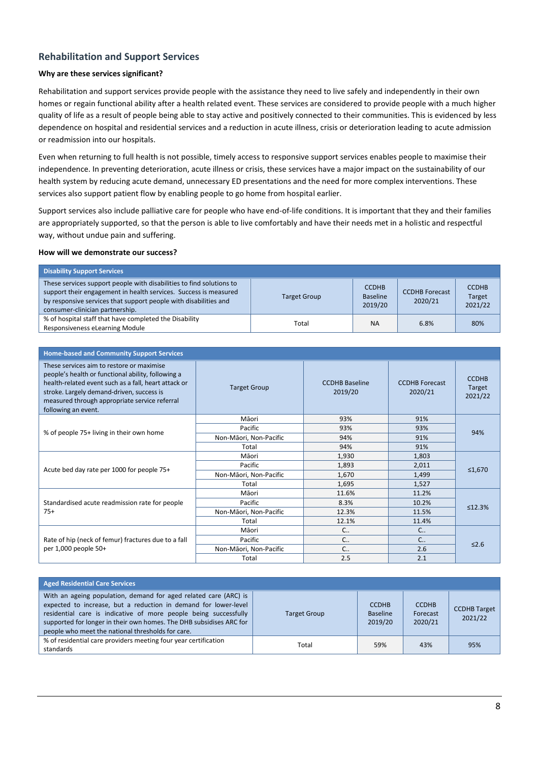### **Rehabilitation and Support Services**

### **Why are these services significant?**

Rehabilitation and support services provide people with the assistance they need to live safely and independently in their own homes or regain functional ability after a health related event. These services are considered to provide people with a much higher quality of life as a result of people being able to stay active and positively connected to their communities. This is evidenced by less dependence on hospital and residential services and a reduction in acute illness, crisis or deterioration leading to acute admission or readmission into our hospitals.

Even when returning to full health is not possible, timely access to responsive support services enables people to maximise their independence. In preventing deterioration, acute illness or crisis, these services have a major impact on the sustainability of our health system by reducing acute demand, unnecessary ED presentations and the need for more complex interventions. These services also support patient flow by enabling people to go home from hospital earlier.

Support services also include palliative care for people who have end-of-life conditions. It is important that they and their families are appropriately supported, so that the person is able to live comfortably and have their needs met in a holistic and respectful way, without undue pain and suffering.

| <b>Disability Support Services</b>                                                                                                                                                                                                              |                     |                                            |                                  |                                   |
|-------------------------------------------------------------------------------------------------------------------------------------------------------------------------------------------------------------------------------------------------|---------------------|--------------------------------------------|----------------------------------|-----------------------------------|
| These services support people with disabilities to find solutions to<br>support their engagement in health services. Success is measured<br>by responsive services that support people with disabilities and<br>consumer-clinician partnership. | <b>Target Group</b> | <b>CCDHB</b><br><b>Baseline</b><br>2019/20 | <b>CCDHB Forecast</b><br>2020/21 | <b>CCDHB</b><br>Target<br>2021/22 |
| % of hospital staff that have completed the Disability<br>Responsiveness eLearning Module                                                                                                                                                       | Total               | <b>NA</b>                                  | 6.8%                             | 80%                               |

| <b>Home-based and Community Support Services</b>                                                                                                                                                                                                                             |                        |                                  |                                  |                                   |  |
|------------------------------------------------------------------------------------------------------------------------------------------------------------------------------------------------------------------------------------------------------------------------------|------------------------|----------------------------------|----------------------------------|-----------------------------------|--|
| These services aim to restore or maximise<br>people's health or functional ability, following a<br>health-related event such as a fall, heart attack or<br>stroke. Largely demand-driven, success is<br>measured through appropriate service referral<br>following an event. | <b>Target Group</b>    | <b>CCDHB Baseline</b><br>2019/20 | <b>CCDHB</b> Forecast<br>2020/21 | <b>CCDHB</b><br>Target<br>2021/22 |  |
|                                                                                                                                                                                                                                                                              | Māori                  | 93%                              | 91%                              |                                   |  |
| % of people 75+ living in their own home                                                                                                                                                                                                                                     | Pacific                | 93%                              | 93%                              | 94%                               |  |
|                                                                                                                                                                                                                                                                              | Non-Māori, Non-Pacific | 94%                              | 91%                              |                                   |  |
|                                                                                                                                                                                                                                                                              | Total                  | 94%                              | 91%                              |                                   |  |
|                                                                                                                                                                                                                                                                              | Māori                  | 1,930                            | 1,803                            |                                   |  |
| Acute bed day rate per 1000 for people 75+                                                                                                                                                                                                                                   | Pacific                | 1,893                            | 2,011                            |                                   |  |
|                                                                                                                                                                                                                                                                              | Non-Māori, Non-Pacific | 1,670                            | 1,499                            | ≤1,670                            |  |
|                                                                                                                                                                                                                                                                              | Total                  | 1,695                            | 1,527                            |                                   |  |
|                                                                                                                                                                                                                                                                              | Māori                  | 11.6%                            | 11.2%                            |                                   |  |
| Standardised acute readmission rate for people                                                                                                                                                                                                                               | Pacific                | 8.3%                             | 10.2%                            | ≤12.3%                            |  |
| $75+$                                                                                                                                                                                                                                                                        | Non-Māori, Non-Pacific | 12.3%                            | 11.5%                            |                                   |  |
|                                                                                                                                                                                                                                                                              | Total                  | 12.1%                            | 11.4%                            |                                   |  |
|                                                                                                                                                                                                                                                                              | Māori                  | C                                | $C_{\cdot}$                      |                                   |  |
| Rate of hip (neck of femur) fractures due to a fall                                                                                                                                                                                                                          | Pacific                | $C_{\cdot}$                      | $C_{\cdot}$                      |                                   |  |
| per 1,000 people 50+                                                                                                                                                                                                                                                         | Non-Māori, Non-Pacific | $C_{\cdot}$                      | 2.6                              | $\leq 2.6$                        |  |
|                                                                                                                                                                                                                                                                              | Total                  | 2.5                              | 2.1                              |                                   |  |

| <b>Aged Residential Care Services</b>                                                                                                                                                                                                                                                                                               |                     |                                            |                                     |                                |
|-------------------------------------------------------------------------------------------------------------------------------------------------------------------------------------------------------------------------------------------------------------------------------------------------------------------------------------|---------------------|--------------------------------------------|-------------------------------------|--------------------------------|
| With an ageing population, demand for aged related care (ARC) is<br>expected to increase, but a reduction in demand for lower-level<br>residential care is indicative of more people being successfully<br>supported for longer in their own homes. The DHB subsidises ARC for<br>people who meet the national thresholds for care. | <b>Target Group</b> | <b>CCDHB</b><br><b>Baseline</b><br>2019/20 | <b>CCDHB</b><br>Forecast<br>2020/21 | <b>CCDHB Target</b><br>2021/22 |
| % of residential care providers meeting four year certification<br>standards                                                                                                                                                                                                                                                        | Total               | 59%                                        | 43%                                 | 95%                            |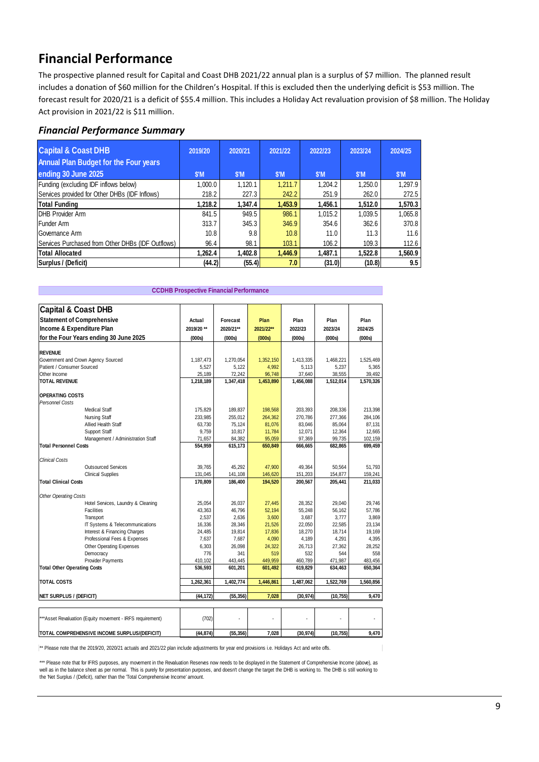# **Financial Performance**

The prospective planned result for Capital and Coast DHB 2021/22 annual plan is a surplus of \$7 million. The planned result includes a donation of \$60 million for the Children's Hospital. If this is excluded then the underlying deficit is \$53 million. The forecast result for 2020/21 is a deficit of \$55.4 million. This includes a Holiday Act revaluation provision of \$8 million. The Holiday Act provision in 2021/22 is \$11 million.

### *Financial Performance Summary*

| <b>Capital &amp; Coast DHB</b>                    | 2019/20 | 2020/21        | 2021/22 | 2022/23        | 2023/24 | 2024/25 |
|---------------------------------------------------|---------|----------------|---------|----------------|---------|---------|
| <b>Annual Plan Budget for the Four years</b>      |         |                |         |                |         |         |
| ending 30 June 2025                               | \$'M    | $$^{\prime}$ M | \$'M    | $$^{\prime}$ M | \$'M    | \$'M    |
| Funding (excluding IDF inflows below)             | 1,000.0 | 1.120.1        | 1,211.7 | 1.204.2        | 1.250.0 | 1.297.9 |
| Services provided for Other DHBs (IDF Inflows)    | 218.2   | 227.3          | 242.2   | 251.9          | 262.0   | 272.5   |
| <b>Total Funding</b>                              | 1,218.2 | 1.347.4        | 1,453.9 | 1,456.1        | 1,512.0 | 1,570.3 |
| DHB Provider Arm                                  | 841.5   | 949.5          | 986.1   | 1.015.2        | 1,039.5 | 1,065.8 |
| Funder Arm                                        | 313.7   | 345.3          | 346.9   | 354.6          | 362.6   | 370.8   |
| Governance Arm                                    | 10.8    | 9.8            | 10.8    | 11.0           | 11.3    | 11.6    |
| Services Purchased from Other DHBs (IDF Outflows) | 96.4    | 98.1           | 103.1   | 106.2          | 109.3   | 112.6   |
| <b>Total Allocated</b>                            | 1,262.4 | 1.402.8        | 1,446.9 | 1,487.1        | 1.522.8 | 1,560.9 |
| Surplus / (Deficit)                               | (44.2)  | (55.4)         | 7.0     | (31.0)         | (10.8)  | 9.5     |

| <b>CCDHB Prospective Financial Performance</b> |                                                            |           |           |           |           |           |           |
|------------------------------------------------|------------------------------------------------------------|-----------|-----------|-----------|-----------|-----------|-----------|
| <b>Capital &amp; Coast DHB</b>                 |                                                            |           |           |           |           |           |           |
| <b>Statement of Comprehensive</b>              |                                                            | Actual    | Forecast  | Plan      | Plan      | Plan      | Plan      |
| Income & Expenditure Plan                      |                                                            | 2019/20** | 2020/21** | 2021/22** | 2022/23   | 2023/24   | 2024/25   |
|                                                | for the Four Years ending 30 June 2025                     | (000s)    | (000s)    | (000s)    | (000s)    | (000s)    | (000s)    |
|                                                |                                                            |           |           |           |           |           |           |
| <b>REVENUE</b>                                 |                                                            |           |           |           |           |           |           |
|                                                | Government and Crown Agency Sourced                        | 1,187,473 | 1,270,054 | 1,352,150 | 1,413,335 | 1,468,221 | 1,525,469 |
| Patient / Consumer Sourced                     |                                                            | 5,527     | 5,122     | 4,992     | 5,113     | 5,237     | 5,365     |
| Other Income                                   |                                                            | 25,189    | 72,242    | 96,748    | 37,640    | 38,555    | 39,492    |
| <b>TOTAL REVENUE</b>                           |                                                            | 1,218,189 | 1,347,418 | 1,453,890 | 1,456,088 | 1,512,014 | 1,570,326 |
| <b>OPERATING COSTS</b>                         |                                                            |           |           |           |           |           |           |
| Personnel Costs                                |                                                            |           |           |           |           |           |           |
|                                                | <b>Medical Staff</b>                                       | 175,829   | 189,837   | 198,568   | 203,393   | 208,336   | 213,398   |
|                                                | Nursing Staff                                              | 233,985   | 255,012   | 264,362   | 270,786   | 277,366   | 284,106   |
|                                                | Allied Health Staff                                        | 63,730    | 75,124    | 81,076    | 83,046    | 85,064    | 87,131    |
|                                                | Support Staff                                              | 9.759     | 10.817    | 11.784    | 12.071    | 12.364    | 12.665    |
|                                                | Management / Administration Staff                          | 71,657    | 84,382    | 95,059    | 97,369    | 99,735    | 102,159   |
| <b>Total Personnel Costs</b>                   |                                                            | 554,959   | 615,173   | 650,849   | 666,665   | 682,865   | 699,459   |
| Clinical Costs                                 |                                                            |           |           |           |           |           |           |
|                                                | <b>Outsourced Services</b>                                 | 39,765    | 45,292    | 47,900    | 49,364    | 50,564    | 51,793    |
|                                                | <b>Clinical Supplies</b>                                   | 131,045   | 141,108   | 146,620   | 151,203   | 154,877   | 159,241   |
| <b>Total Clinical Costs</b>                    |                                                            | 170,809   | 186,400   | 194,520   | 200,567   | 205,441   | 211,033   |
| Other Operating Costs                          |                                                            |           |           |           |           |           |           |
|                                                | Hotel Services, Laundry & Cleaning                         | 25,054    | 26,037    | 27.445    | 28,352    | 29,040    | 29.746    |
|                                                | Facilities                                                 | 43,363    | 46,796    | 52,194    | 55,248    | 56,162    | 57,786    |
|                                                | Transport                                                  | 2,537     | 2.636     | 3,600     | 3,687     | 3.777     | 3,869     |
|                                                | IT Systems & Telecommunications                            | 16,336    | 28,346    | 21,526    | 22,050    | 22,585    | 23,134    |
|                                                | Interest & Financing Charges                               | 24,485    | 19,814    | 17,836    | 18,270    | 18,714    | 19,169    |
|                                                | Professional Fees & Expenses                               | 7,637     | 7,687     | 4,090     | 4,189     | 4,291     | 4,395     |
|                                                | <b>Other Operating Expenses</b>                            | 6,303     | 26,098    | 24,322    | 26,713    | 27,362    | 28,252    |
|                                                | Democracy                                                  | 776       | 341       | 519       | 532       | 544       | 558       |
|                                                | Provider Payments                                          | 410,102   | 443,445   | 449,959   | 460,789   | 471,987   | 483,456   |
| <b>Total Other Operating Costs</b>             |                                                            | 536,593   | 601,201   | 601,492   | 619,829   | 634,463   | 650,364   |
| <b>TOTAL COSTS</b>                             |                                                            | 1.262.361 | 1.402.774 | 1.446.861 | 1.487.062 | 1,522,769 | 1.560.856 |
|                                                |                                                            |           |           |           |           |           |           |
| <b>NET SURPLUS / (DEFICIT)</b>                 |                                                            | (44, 172) | (55, 356) | 7,028     | (30, 974) | (10, 755) | 9,470     |
|                                                |                                                            |           |           |           |           |           |           |
|                                                | *** Asset Revaluation (Equity movement - IRFS requirement) | (702)     |           |           |           |           |           |
|                                                |                                                            |           |           |           |           |           |           |
|                                                | TOTAL COMPREHENSIVE INCOME SURPLUS/(DEFICIT)               | (44, 874) | (55, 356) | 7.028     | (30.974)  | (10, 755) | 9,470     |

\*\* Please note that the 2019/20, 2020/21 actuals and 2021/22 plan include adjustments for year end provisions i.e. Holidays Act and write offs.

\*\*\* Please note that for IFRS purposes, any movement in the Revaluation Reserves now needs to be displayed in the Statement of Comprehensive Income (above), as well as in the balance sheet as per normal. This is purely for presentation purposes, and doesn't change the target the DHB is working to. The DHB is still working to<br>the 'Net Surplus / (Deficit), rather than the 'Total Co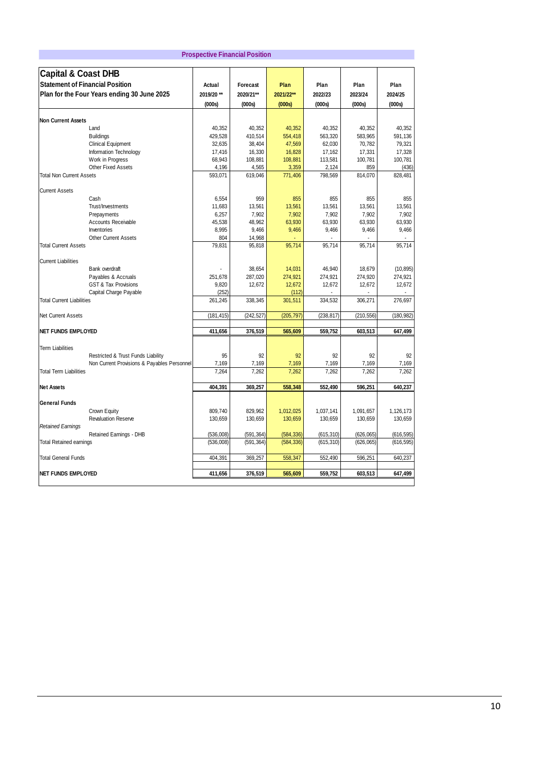| <b>Prospective Financial Position</b>       |                                             |                    |                    |                      |                      |                      |                      |
|---------------------------------------------|---------------------------------------------|--------------------|--------------------|----------------------|----------------------|----------------------|----------------------|
| <b>Capital &amp; Coast DHB</b>              |                                             |                    |                    |                      |                      |                      |                      |
| <b>Statement of Financial Position</b>      |                                             | Actual             | Forecast           | Plan                 | Plan                 | Plan                 | Plan                 |
| Plan for the Four Years ending 30 June 2025 |                                             | 2019/20 **         | 2020/21**          | 2021/22**            | 2022/23              | 2023/24              | 2024/25              |
|                                             |                                             | (000s)             | (000s)             | (000s)               | (000s)               | (000s)               | (000s)               |
|                                             |                                             |                    |                    |                      |                      |                      |                      |
| <b>Non Current Assets</b>                   |                                             |                    |                    |                      |                      |                      |                      |
| Land                                        |                                             | 40,352             | 40,352             | 40,352               | 40,352               | 40,352               | 40,352               |
| <b>Buildings</b>                            |                                             | 429,528            | 410,514            | 554,418              | 563,320              | 583,965              | 591,136              |
| <b>Clinical Equipment</b>                   |                                             | 32,635             | 38,404             | 47,569               | 62,030               | 70,782               | 79,321               |
|                                             | Information Technology                      | 17,416             | 16,330             | 16,828               | 17,162               | 17,331               | 17,328               |
| Work in Progress                            |                                             | 68,943             | 108,881            | 108,881              | 113,581              | 100,781              | 100,781              |
| Other Fixed Assets                          |                                             | 4,196              | 4,565              | 3,359                | 2,124                | 859                  | (436)                |
| <b>Total Non Current Assets</b>             |                                             | 593,071            | 619,046            | 771,406              | 798,569              | 814,070              | 828,481              |
| <b>Current Assets</b>                       |                                             |                    |                    |                      |                      |                      |                      |
| Cash                                        |                                             | 6,554              | 959                | 855                  | 855                  | 855                  | 855                  |
| Trust/Investments                           |                                             | 11,683             | 13,561             | 13,561               | 13,561               | 13,561               | 13,561               |
| Prepayments                                 |                                             | 6,257              | 7,902              | 7,902                | 7,902                | 7,902                | 7,902                |
|                                             | Accounts Receivable                         | 45,538             | 48,962             | 63,930               | 63,930               | 63,930               | 63,930               |
| Inventories                                 |                                             | 8,995              | 9,466              | 9,466                | 9,466                | 9,466                | 9,466                |
|                                             | <b>Other Current Assets</b>                 | 804                | 14,968             |                      |                      |                      |                      |
| <b>Total Current Assets</b>                 |                                             | 79,831             | 95,818             | 95,714               | 95,714               | 95,714               | 95,714               |
| <b>Current Liabilities</b>                  |                                             |                    |                    |                      |                      |                      |                      |
| Bank overdraft                              |                                             |                    | 38,654             | 14,031               | 46,940               | 18,679               | (10, 895)            |
|                                             | Payables & Accruals                         | 251,678            | 287,020            | 274,921              | 274,921              | 274,920              | 274,921              |
|                                             | <b>GST &amp; Tax Provisions</b>             | 9,820              | 12,672             | 12,672               | 12,672               | 12,672               | 12,672               |
|                                             | Capital Charge Payable                      | (252)              |                    | (112)                |                      |                      |                      |
| <b>Total Current Liabilities</b>            |                                             | 261,245            | 338,345            | 301,511              | 334,532              | 306,271              | 276,697              |
| <b>Net Current Assets</b>                   |                                             | (181, 415)         | (242, 527)         | (205, 797)           | (238, 817)           | (210, 556)           | (180,982)            |
|                                             |                                             |                    |                    |                      |                      |                      |                      |
| <b>NET FUNDS EMPLOYED</b>                   |                                             | 411,656            | 376,519            | 565,609              | 559,752              | 603,513              | 647,499              |
| <b>Term Liabilities</b>                     |                                             |                    |                    |                      |                      |                      |                      |
|                                             | Restricted & Trust Funds Liability          | 95                 | 92                 | 92                   | 92                   | 92                   | 92                   |
|                                             | Non Current Provisions & Payables Personnel | 7,169              | 7,169              | 7,169                | 7,169                | 7,169                | 7,169                |
| <b>Total Term Liabilities</b>               |                                             | 7,264              | 7,262              | 7,262                | 7,262                | 7,262                | 7,262                |
| <b>Net Assets</b>                           |                                             | 404,391            | 369,257            | 558,348              | 552,490              | 596,251              | 640,237              |
|                                             |                                             |                    |                    |                      |                      |                      |                      |
| <b>General Funds</b>                        |                                             |                    |                    |                      |                      |                      |                      |
| Crown Equity<br><b>Revaluation Reserve</b>  |                                             | 809,740<br>130,659 | 829,962<br>130,659 | 1,012,025<br>130,659 | 1,037,141<br>130,659 | 1,091,657<br>130,659 | 1,126,173<br>130,659 |
| <b>Retained Earnings</b>                    |                                             |                    |                    |                      |                      |                      |                      |
|                                             | Retained Earnings - DHB                     | (536,008)          | (591, 364)         | (584, 336)           | (615, 310)           | (626, 065)           | (616, 595)           |
| <b>Total Retained earnings</b>              |                                             | (536,008)          | (591, 364)         | (584, 336)           | (615, 310)           | (626,065)            | (616, 595)           |
| <b>Total General Funds</b>                  |                                             | 404,391            | 369,257            | 558,347              | 552,490              | 596,251              | 640,237              |
|                                             |                                             |                    |                    |                      |                      |                      |                      |
| <b>NET FUNDS EMPLOYED</b>                   |                                             | 411,656            | 376,519            | 565,609              | 559,752              | 603,513              | 647,499              |

### 10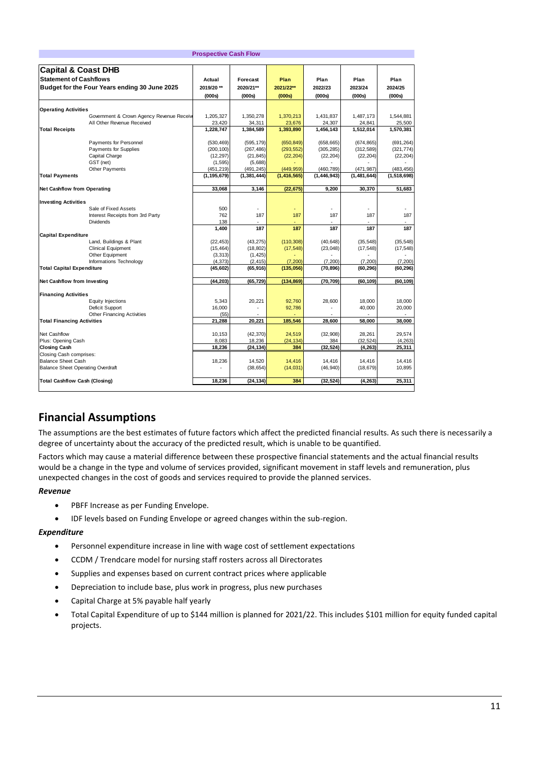|                                          |                                               | <b>Prospective Cash Flow</b> |                       |                       |                       |                       |                       |
|------------------------------------------|-----------------------------------------------|------------------------------|-----------------------|-----------------------|-----------------------|-----------------------|-----------------------|
| <b>Capital &amp; Coast DHB</b>           |                                               |                              |                       |                       |                       |                       |                       |
| <b>Statement of Cashflows</b>            |                                               | Actual                       | Forecast              | Plan                  | Plan                  | Plan                  | Plan                  |
|                                          | Budget for the Four Years ending 30 June 2025 | 2019/20 **                   | 2020/21**             | 2021/22**             | 2022/23               | 2023/24               | 2024/25               |
|                                          |                                               | (000s)                       | (000s)                | (000s)                | (000s)                | (000s)                | (000s)                |
|                                          |                                               |                              |                       |                       |                       |                       |                       |
| <b>Operating Activities</b>              |                                               |                              |                       |                       |                       |                       |                       |
|                                          | Government & Crown Agency Revenue Receiv      | 1,205,327                    | 1,350,278             | 1,370,213             | 1,431,837             | 1,487,173             | 1,544,881             |
|                                          | All Other Revenue Received                    | 23,420                       | 34,311                | 23,676                | 24,307                | 24,841                | 25,500                |
| <b>Total Receipts</b>                    |                                               | 1,228,747                    | 1,384,589             | 1,393,890             | 1,456,143             | 1,512,014             | 1,570,381             |
|                                          | Payments for Personnel                        | (530, 469)                   | (595, 179)            | (650, 849)            | (658, 665)            | (674, 865)            | (691, 264)            |
|                                          | Payments for Supplies                         | (200, 100)                   | (267, 486)            | (293, 552)            | (305, 285)            | (312, 589)            | (321, 774)            |
|                                          | Capital Charge                                | (12, 297)                    | (21, 845)             | (22, 204)             | (22, 204)             | (22, 204)             | (22, 204)             |
|                                          | GST (net)                                     | (1, 595)                     | (5,688)               |                       |                       |                       |                       |
|                                          | Other Payments                                | (451, 219)                   | (491, 245)            | (449, 959)            | (460, 789)            | (471, 987)            | (483, 456)            |
| <b>Total Payments</b>                    |                                               | (1, 195, 679)                | (1, 381, 444)         | (1, 416, 565)         | (1, 446, 943)         | (1,481,644)           | (1, 518, 698)         |
| <b>Net Cashflow from Operating</b>       |                                               | 33,068                       | 3,146                 | (22, 675)             | 9,200                 | 30,370                | 51,683                |
|                                          |                                               |                              |                       |                       |                       |                       |                       |
| <b>Investing Activities</b>              | Sale of Fixed Assets                          | 500                          |                       | ä,                    |                       |                       |                       |
|                                          | Interest Receipts from 3rd Party              | 762                          | 187                   | 187                   | 187                   | 187                   | 187                   |
|                                          | Dividends                                     | 138                          |                       |                       |                       |                       |                       |
|                                          |                                               | 1,400                        | 187                   | 187                   | 187                   | 187                   | 187                   |
| <b>Capital Expenditure</b>               |                                               |                              |                       |                       |                       |                       |                       |
|                                          | Land, Buildings & Plant                       | (22, 453)                    | (43, 275)             | (110, 308)            | (40, 648)             | (35, 548)             | (35, 548)             |
|                                          | <b>Clinical Equipment</b>                     | (15, 464)                    | (18, 802)             | (17, 548)             | (23, 048)             | (17, 548)             | (17, 548)             |
|                                          | Other Equipment                               | (3, 313)                     | (1, 425)              |                       |                       |                       |                       |
| <b>Total Capital Expenditure</b>         | Informations Technology                       | (4, 373)<br>(45, 602)        | (2, 415)<br>(65, 916) | (7, 200)<br>(135,056) | (7, 200)<br>(70, 896) | (7, 200)<br>(60, 296) | (7, 200)<br>(60, 296) |
|                                          |                                               |                              |                       |                       |                       |                       |                       |
| <b>Net Cashflow from Investing</b>       |                                               | (44, 203)                    | (65, 729)             | (134, 869)            | (70, 709)             | (60, 109)             | (60, 109)             |
| <b>Financing Activities</b>              |                                               |                              |                       |                       |                       |                       |                       |
|                                          | <b>Equity Injections</b>                      | 5,343                        | 20,221                | 92,760                | 28,600                | 18,000                | 18,000                |
|                                          | Deficit Support                               | 16,000                       |                       | 92,786                |                       | 40,000                | 20,000                |
|                                          | <b>Other Financing Activities</b>             | (55)                         |                       |                       |                       |                       |                       |
| <b>Total Financing Activities</b>        |                                               | 21,288                       | 20.221                | 185.546               | 28,600                | 58,000                | 38.000                |
| Net Cashflow                             |                                               | 10,153                       | (42, 370)             | 24.519                | (32,908)              | 28,261                | 29.574                |
| Plus: Opening Cash                       |                                               | 8,083                        | 18,236                | (24, 134)             | 384                   | (32, 524)             | (4, 263)              |
| <b>Closing Cash</b>                      |                                               | 18,236                       | (24, 134)             | 384                   | (32, 524)             | (4, 263)              | 25,311                |
| Closing Cash comprises:                  |                                               |                              |                       |                       |                       |                       |                       |
| <b>Balance Sheet Cash</b>                |                                               | 18,236                       | 14,520                | 14,416                | 14,416                | 14.416                | 14,416                |
| <b>Balance Sheet Operating Overdraft</b> |                                               |                              | (38, 654)             | (14, 031)             | (46, 940)             | (18, 679)             | 10,895                |
| <b>Total Cashflow Cash (Closing)</b>     |                                               | 18,236                       | (24, 134)             | 384                   | (32, 524)             | (4, 263)              | 25,311                |
|                                          |                                               |                              |                       |                       |                       |                       |                       |

# **Financial Assumptions**

The assumptions are the best estimates of future factors which affect the predicted financial results. As such there is necessarily a degree of uncertainty about the accuracy of the predicted result, which is unable to be quantified.

Factors which may cause a material difference between these prospective financial statements and the actual financial results would be a change in the type and volume of services provided, significant movement in staff levels and remuneration, plus unexpected changes in the cost of goods and services required to provide the planned services.

### *Revenue*

- PBFF Increase as per Funding Envelope.
- IDF levels based on Funding Envelope or agreed changes within the sub-region.

### *Expenditure*

- Personnel expenditure increase in line with wage cost of settlement expectations
- CCDM / Trendcare model for nursing staff rosters across all Directorates
- Supplies and expenses based on current contract prices where applicable
- Depreciation to include base, plus work in progress, plus new purchases
- Capital Charge at 5% payable half yearly
- Total Capital Expenditure of up to \$144 million is planned for 2021/22. This includes \$101 million for equity funded capital projects.